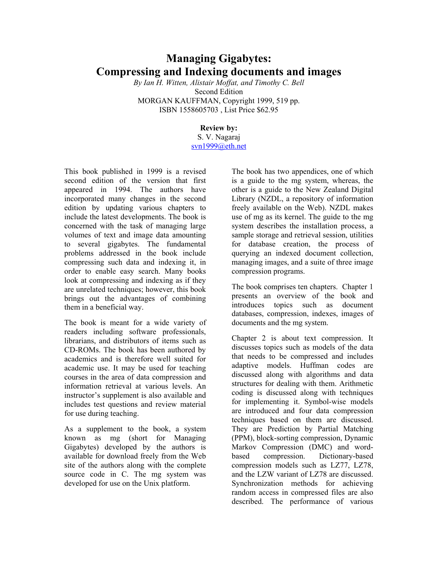## **Managing Gigabytes: Compressing and Indexing documents and images**

*By Ian H. Witten, Alistair Moffat, and Timothy C. Bell*  Second Edition MORGAN KAUFFMAN, Copyright 1999, 519 pp. ISBN 1558605703 , List Price \$62.95

## **Review by:**

S. V. Nagaraj svn1999@eth.net

This book published in 1999 is a revised second edition of the version that first appeared in 1994. The authors have incorporated many changes in the second edition by updating various chapters to include the latest developments. The book is concerned with the task of managing large volumes of text and image data amounting to several gigabytes. The fundamental problems addressed in the book include compressing such data and indexing it, in order to enable easy search. Many books look at compressing and indexing as if they are unrelated techniques; however, this book brings out the advantages of combining them in a beneficial way.

The book is meant for a wide variety of readers including software professionals, librarians, and distributors of items such as CD-ROMs. The book has been authored by academics and is therefore well suited for academic use. It may be used for teaching courses in the area of data compression and information retrieval at various levels. An instructor's supplement is also available and includes test questions and review material for use during teaching.

As a supplement to the book, a system known as mg (short for Managing Gigabytes) developed by the authors is available for download freely from the Web site of the authors along with the complete source code in C. The mg system was developed for use on the Unix platform.

The book has two appendices, one of which is a guide to the mg system, whereas, the other is a guide to the New Zealand Digital Library (NZDL, a repository of information freely available on the Web). NZDL makes use of mg as its kernel. The guide to the mg system describes the installation process, a sample storage and retrieval session, utilities for database creation, the process of querying an indexed document collection, managing images, and a suite of three image compression programs.

The book comprises ten chapters. Chapter 1 presents an overview of the book and introduces topics such as document databases, compression, indexes, images of documents and the mg system.

Chapter 2 is about text compression. It discusses topics such as models of the data that needs to be compressed and includes adaptive models. Huffman codes are discussed along with algorithms and data structures for dealing with them. Arithmetic coding is discussed along with techniques for implementing it. Symbol-wise models are introduced and four data compression techniques based on them are discussed. They are Prediction by Partial Matching (PPM), block-sorting compression, Dynamic Markov Compression (DMC) and wordbased compression. Dictionary-based compression models such as LZ77, LZ78, and the LZW variant of LZ78 are discussed. Synchronization methods for achieving random access in compressed files are also described. The performance of various